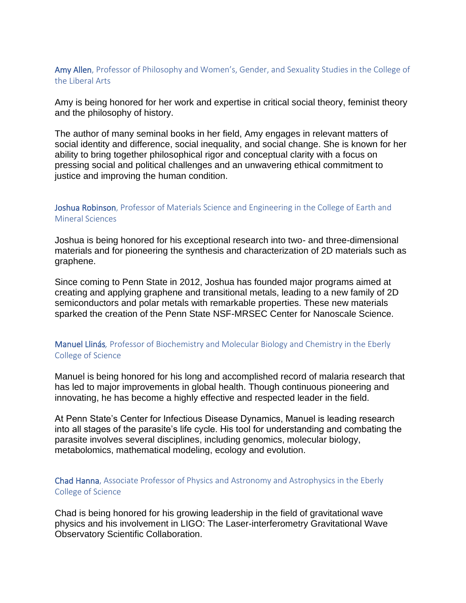## Amy Allen, Professor of Philosophy and Women's, Gender, and Sexuality Studies in the College of the Liberal Arts

Amy is being honored for her work and expertise in critical social theory, feminist theory and the philosophy of history.

The author of many seminal books in her field, Amy engages in relevant matters of social identity and difference, social inequality, and social change. She is known for her ability to bring together philosophical rigor and conceptual clarity with a focus on pressing social and political challenges and an unwavering ethical commitment to justice and improving the human condition.

## Joshua Robinson, Professor of Materials Science and Engineering in the College of Earth and Mineral Sciences

Joshua is being honored for his exceptional research into two- and three-dimensional materials and for pioneering the synthesis and characterization of 2D materials such as graphene.

Since coming to Penn State in 2012, Joshua has founded major programs aimed at creating and applying graphene and transitional metals, leading to a new family of 2D semiconductors and polar metals with remarkable properties. These new materials sparked the creation of the Penn State NSF-MRSEC Center for Nanoscale Science.

#### Manuel Llinás*,* Professor of Biochemistry and Molecular Biology and Chemistry in the Eberly College of Science

Manuel is being honored for his long and accomplished record of malaria research that has led to major improvements in global health. Though continuous pioneering and innovating, he has become a highly effective and respected leader in the field.

At Penn State's Center for Infectious Disease Dynamics, Manuel is leading research into all stages of the parasite's life cycle. His tool for understanding and combating the parasite involves several disciplines, including genomics, molecular biology, metabolomics, mathematical modeling, ecology and evolution.

# Chad Hanna, Associate Professor of Physics and Astronomy and Astrophysics in the Eberly College of Science

Chad is being honored for his growing leadership in the field of gravitational wave physics and his involvement in LIGO: The Laser-interferometry Gravitational Wave Observatory Scientific Collaboration.